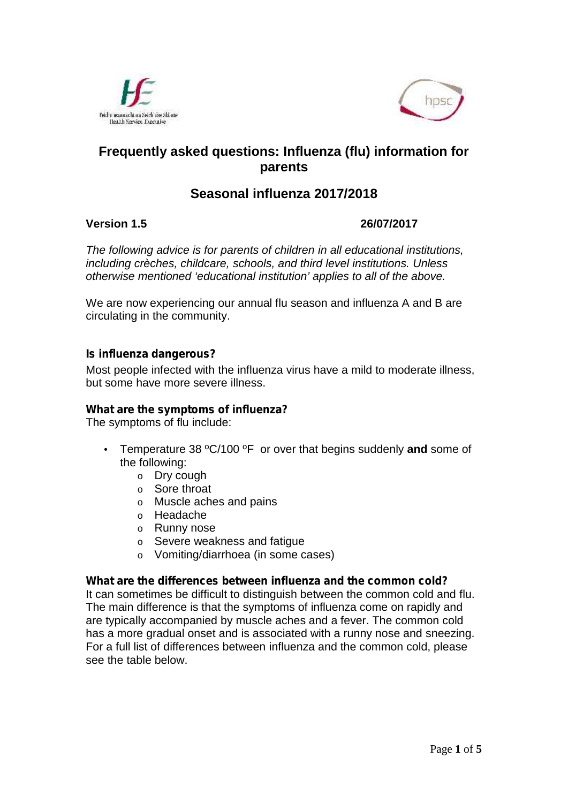



# **Frequently asked questions: Influenza (flu) information for parents**

# **Seasonal influenza 2017/2018**

**Version 1.5 26/07/2017**

*The following advice is for parents of children in all educational institutions, including crèches, childcare, schools, and third level institutions. Unless otherwise mentioned 'educational institution' applies to all of the above.*

We are now experiencing our annual flu season and influenza A and B are circulating in the community.

### *Is influenza dangerous?*

Most people infected with the influenza virus have a mild to moderate illness, but some have more severe illness.

#### *What are the symptoms of influenza?*

The symptoms of flu include:

- Temperature 38 ºC/100 ºF or over that begins suddenly **and** some of the following:
	- o Dry cough
	- o Sore throat
	- o Muscle aches and pains
	- o Headache
	- o Runny nose
	- o Severe weakness and fatigue
	- o Vomiting/diarrhoea (in some cases)

#### *What are the differences between influenza and the common cold?*

It can sometimes be difficult to distinguish between the common cold and flu. The main difference is that the symptoms of influenza come on rapidly and are typically accompanied by muscle aches and a fever. The common cold has a more gradual onset and is associated with a runny nose and sneezing. For a full list of differences between influenza and the common cold, please see the table below.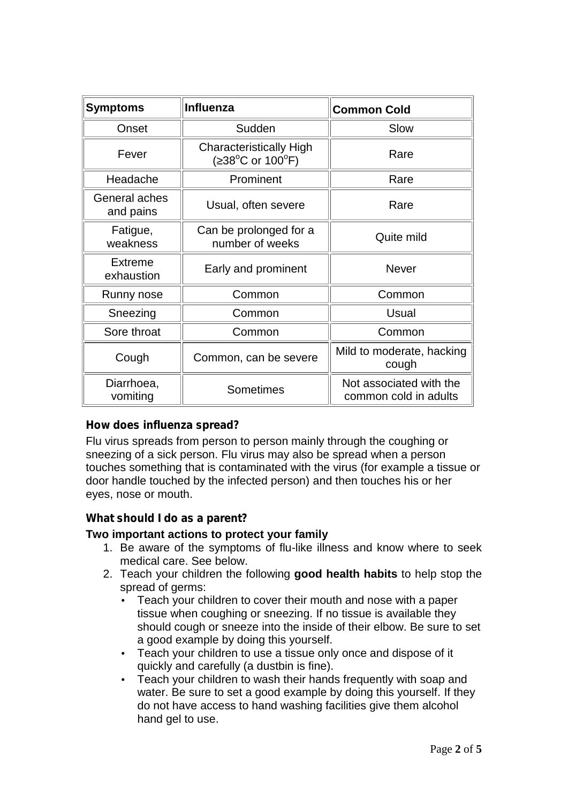| <b>Symptoms</b>            | <b>Influenza</b>                                 | <b>Common Cold</b>                               |
|----------------------------|--------------------------------------------------|--------------------------------------------------|
| Onset                      | Sudden                                           | Slow                                             |
| Fever                      | <b>Characteristically High</b><br>38°C or 100°F) | Rare                                             |
| Headache                   | Prominent                                        | Rare                                             |
| General aches<br>and pains | Usual, often severe                              | Rare                                             |
| Fatigue,<br>weakness       | Can be prolonged for a<br>number of weeks        | Quite mild                                       |
| Extreme<br>exhaustion      | Early and prominent                              | <b>Never</b>                                     |
| Runny nose                 | Common                                           | Common                                           |
| Sneezing                   | Common                                           | Usual                                            |
| Sore throat                | Common                                           | Common                                           |
| Cough                      | Common, can be severe                            | Mild to moderate, hacking<br>cough               |
| Diarrhoea,<br>vomiting     | Sometimes                                        | Not associated with the<br>common cold in adults |

# *How does influenza spread?*

Flu virus spreads from person to person mainly through the coughing or sneezing of a sick person. Flu virus may also be spread when a person touches something that is contaminated with the virus (for example a tissue or door handle touched by the infected person) and then touches his or her eyes, nose or mouth.

# *What should I do as a parent?*

#### **Two important actions to protect your family**

- 1. Be aware of the symptoms of flu-like illness and know where to seek medical care. See below.
- 2. Teach your children the following **good health habits** to help stop the spread of germs:
	- Teach your children to cover their mouth and nose with a paper tissue when coughing or sneezing. If no tissue is available they should cough or sneeze into the inside of their elbow. Be sure to set a good example by doing this yourself.
	- Teach your children to use a tissue only once and dispose of it quickly and carefully (a dustbin is fine).
	- Teach your children to wash their hands frequently with soap and water. Be sure to set a good example by doing this yourself. If they do not have access to hand washing facilities give them alcohol hand gel to use.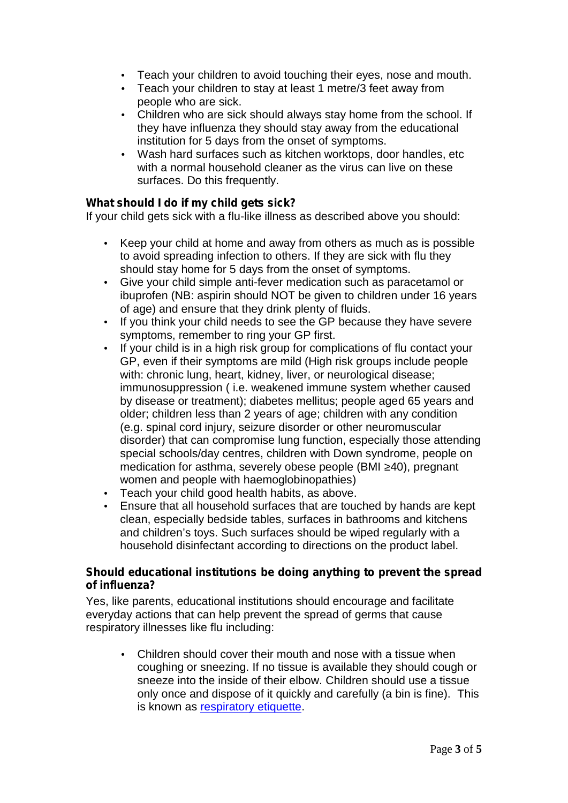- Teach your children to avoid touching their eyes, nose and mouth.
- Teach your children to stay at least 1 metre/3 feet away from people who are sick.
- Children who are sick should always stay home from the school. If they have influenza they should stay away from the educational institution for 5 days from the onset of symptoms.
- Wash hard surfaces such as kitchen worktops, door handles, etc with a normal household cleaner as the virus can live on these surfaces. Do this frequently.

### *What should I do if my child gets sick?*

If your child gets sick with a flu-like illness as described above you should:

- Keep your child at home and away from others as much as is possible to avoid spreading infection to others. If they are sick with flu they should stay home for 5 days from the onset of symptoms.
- Give your child simple anti-fever medication such as paracetamol or ibuprofen (NB: aspirin should NOT be given to children under 16 years of age) and ensure that they drink plenty of fluids.
- If you think your child needs to see the GP because they have severe symptoms, remember to ring your GP first.
- If your child is in a high risk group for complications of flu contact your GP, even if their symptoms are mild (High risk groups include people with: chronic lung, heart, kidney, liver, or neurological disease; immunosuppression ( i.e. weakened immune system whether caused by disease or treatment); diabetes mellitus; people aged 65 years and older; children less than 2 years of age; children with any condition (e.g. spinal cord injury, seizure disorder or other neuromuscular disorder) that can compromise lung function, especially those attending special schools/day centres, children with Down syndrome, people on medication for asthma, severely obese people (BMI 40), pregnant women and people with haemoglobinopathies)
- Teach your child good health habits, as above.
- Ensure that all household surfaces that are touched by hands are kept clean, especially bedside tables, surfaces in bathrooms and kitchens and children's toys. Such surfaces should be wiped regularly with a household disinfectant according to directions on the product label.

#### *Should educational institutions be doing anything to prevent the spread of influenza?*

Yes, like parents, educational institutions should encourage and facilitate everyday actions that can help prevent the spread of germs that cause respiratory illnesses like flu including:

 Children should cover their mouth and nose with a tissue when coughing or sneezing. If no tissue is available they should cough or sneeze into the inside of their elbow. Children should use a tissue only once and dispose of it quickly and carefully (a bin is fine). This is known as respiratory etiquette.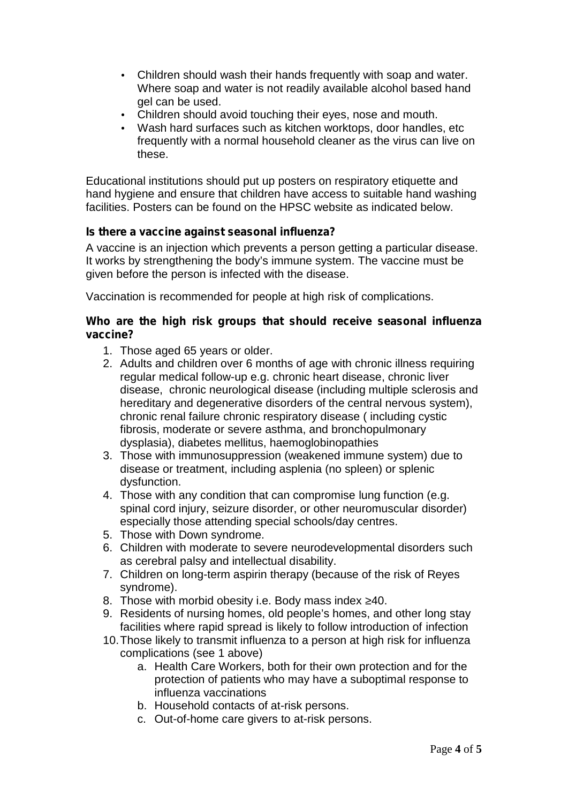- Children should wash their hands frequently with soap and water. Where soap and water is not readily available alcohol based hand gel can be used.
- Children should avoid touching their eyes, nose and mouth.
- Wash hard surfaces such as kitchen worktops, door handles, etc frequently with a normal household cleaner as the virus can live on these.

Educational institutions should put up posters on respiratory etiquette and hand hygiene and ensure that children have access to suitable hand washing facilities. Posters can be found on the HPSC website as indicated below.

# *Is there a vaccine against seasonal influenza?*

A vaccine is an injection which prevents a person getting a particular disease. It works by strengthening the body's immune system. The vaccine must be given before the person is infected with the disease.

Vaccination is recommended for people at high risk of complications.

#### *Who are the high risk groups that should receive seasonal influenza vaccine?*

- 1. Those aged 65 years or older.
- 2. Adults and children over 6 months of age with chronic illness requiring regular medical follow-up e.g. chronic heart disease, chronic liver disease, chronic neurological disease (including multiple sclerosis and hereditary and degenerative disorders of the central nervous system), chronic renal failure chronic respiratory disease ( including cystic fibrosis, moderate or severe asthma, and bronchopulmonary dysplasia), diabetes mellitus, haemoglobinopathies
- 3. Those with immunosuppression (weakened immune system) due to disease or treatment, including asplenia (no spleen) or splenic dysfunction.
- 4. Those with any condition that can compromise lung function (e.g. spinal cord injury, seizure disorder, or other neuromuscular disorder) especially those attending special schools/day centres.
- 5. Those with Down syndrome.
- 6. Children with moderate to severe neurodevelopmental disorders such as cerebral palsy and intellectual disability.
- 7. Children on long-term aspirin therapy (because of the risk of Reyes syndrome).
- 8. Those with morbid obesity i.e. Body mass index 40.
- 9. Residents of nursing homes, old people's homes, and other long stay facilities where rapid spread is likely to follow introduction of infection
- 10.Those likely to transmit influenza to a person at high risk for influenza complications (see 1 above)
	- a. Health Care Workers, both for their own protection and for the protection of patients who may have a suboptimal response to influenza vaccinations
	- b. Household contacts of at-risk persons.
	- c. Out-of-home care givers to at-risk persons.